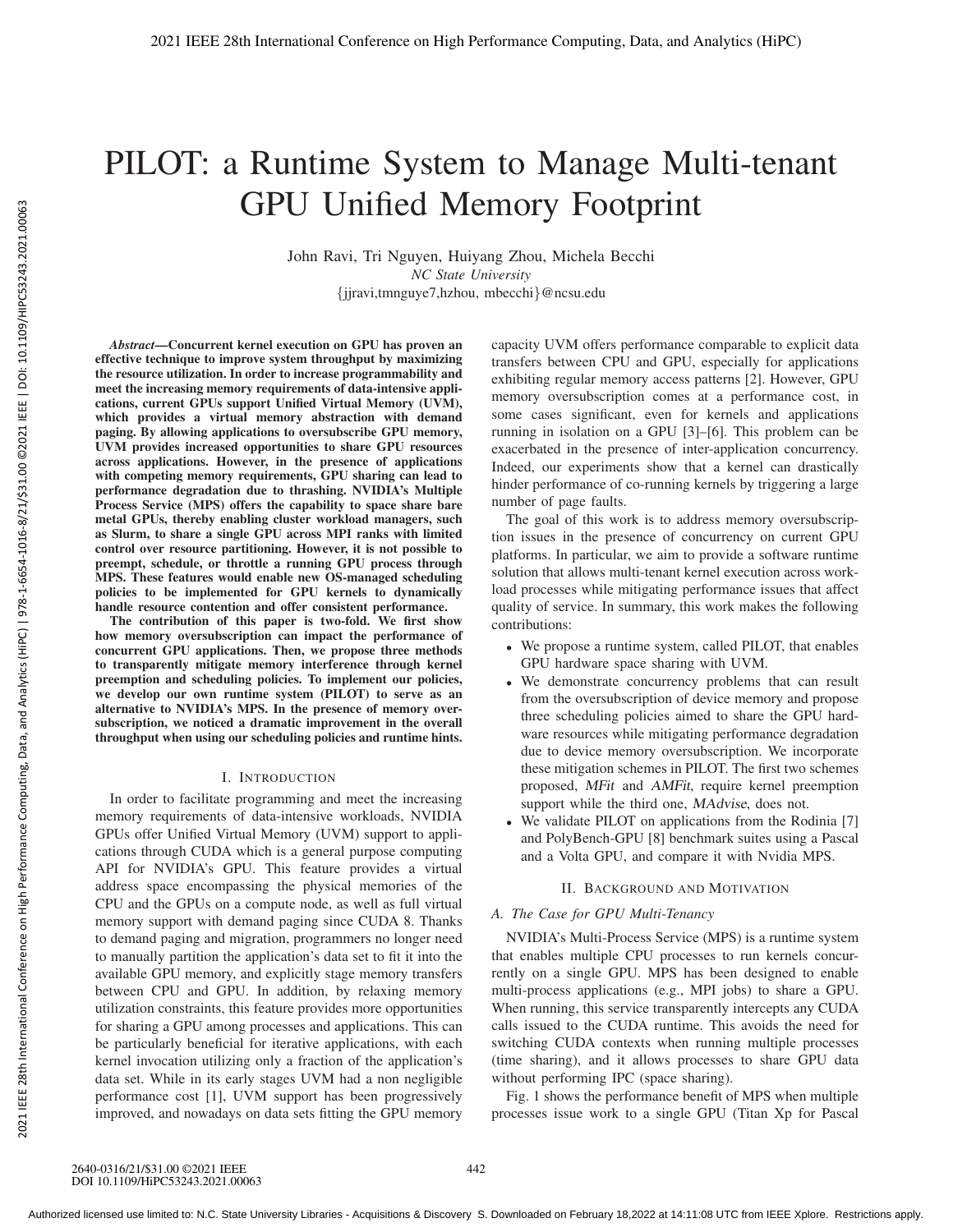# PILOT: a Runtime System to Manage Multi-tenant GPU Unified Memory Footprint

John Ravi, Tri Nguyen, Huiyang Zhou, Michela Becchi *NC State University* {jjravi,tmnguye7,hzhou, mbecchi}@ncsu.edu

*Abstract*—Concurrent kernel execution on GPU has proven an effective technique to improve system throughput by maximizing the resource utilization. In order to increase programmability and meet the increasing memory requirements of data-intensive applications, current GPUs support Unified Virtual Memory (UVM), which provides a virtual memory abstraction with demand paging. By allowing applications to oversubscribe GPU memory, UVM provides increased opportunities to share GPU resources across applications. However, in the presence of applications with competing memory requirements, GPU sharing can lead to performance degradation due to thrashing. NVIDIA's Multiple Process Service (MPS) offers the capability to space share bare metal GPUs, thereby enabling cluster workload managers, such as Slurm, to share a single GPU across MPI ranks with limited control over resource partitioning. However, it is not possible to preempt, schedule, or throttle a running GPU process through MPS. These features would enable new OS-managed scheduling policies to be implemented for GPU kernels to dynamically handle resource contention and offer consistent performance.

The contribution of this paper is two-fold. We first show how memory oversubscription can impact the performance of concurrent GPU applications. Then, we propose three methods to transparently mitigate memory interference through kernel preemption and scheduling policies. To implement our policies, we develop our own runtime system (PILOT) to serve as an alternative to NVIDIA's MPS. In the presence of memory oversubscription, we noticed a dramatic improvement in the overall throughput when using our scheduling policies and runtime hints.

# I. INTRODUCTION

In order to facilitate programming and meet the increasing memory requirements of data-intensive workloads, NVIDIA GPUs offer Unified Virtual Memory (UVM) support to applications through CUDA which is a general purpose computing API for NVIDIA's GPU. This feature provides a virtual address space encompassing the physical memories of the CPU and the GPUs on a compute node, as well as full virtual memory support with demand paging since CUDA 8. Thanks to demand paging and migration, programmers no longer need to manually partition the application's data set to fit it into the available GPU memory, and explicitly stage memory transfers between CPU and GPU. In addition, by relaxing memory utilization constraints, this feature provides more opportunities for sharing a GPU among processes and applications. This can be particularly beneficial for iterative applications, with each kernel invocation utilizing only a fraction of the application's data set. While in its early stages UVM had a non negligible performance cost [1], UVM support has been progressively improved, and nowadays on data sets fitting the GPU memory

capacity UVM offers performance comparable to explicit data transfers between CPU and GPU, especially for applications exhibiting regular memory access patterns [2]. However, GPU memory oversubscription comes at a performance cost, in some cases significant, even for kernels and applications running in isolation on a GPU [3]–[6]. This problem can be exacerbated in the presence of inter-application concurrency. Indeed, our experiments show that a kernel can drastically hinder performance of co-running kernels by triggering a large number of page faults.

The goal of this work is to address memory oversubscription issues in the presence of concurrency on current GPU platforms. In particular, we aim to provide a software runtime solution that allows multi-tenant kernel execution across workload processes while mitigating performance issues that affect quality of service. In summary, this work makes the following contributions:

- We propose a runtime system, called PILOT, that enables GPU hardware space sharing with UVM.
- We demonstrate concurrency problems that can result from the oversubscription of device memory and propose three scheduling policies aimed to share the GPU hardware resources while mitigating performance degradation due to device memory oversubscription. We incorporate these mitigation schemes in PILOT. The first two schemes proposed, MFit and AMFit, require kernel preemption support while the third one, MAdvise, does not.
- We validate PILOT on applications from the Rodinia [7] and PolyBench-GPU [8] benchmark suites using a Pascal and a Volta GPU, and compare it with Nvidia MPS.

# II. BACKGROUND AND MOTIVATION

# *A. The Case for GPU Multi-Tenancy*

NVIDIA's Multi-Process Service (MPS) is a runtime system that enables multiple CPU processes to run kernels concurrently on a single GPU. MPS has been designed to enable multi-process applications (e.g., MPI jobs) to share a GPU. When running, this service transparently intercepts any CUDA calls issued to the CUDA runtime. This avoids the need for switching CUDA contexts when running multiple processes (time sharing), and it allows processes to share GPU data without performing IPC (space sharing).

Fig. 1 shows the performance benefit of MPS when multiple processes issue work to a single GPU (Titan Xp for Pascal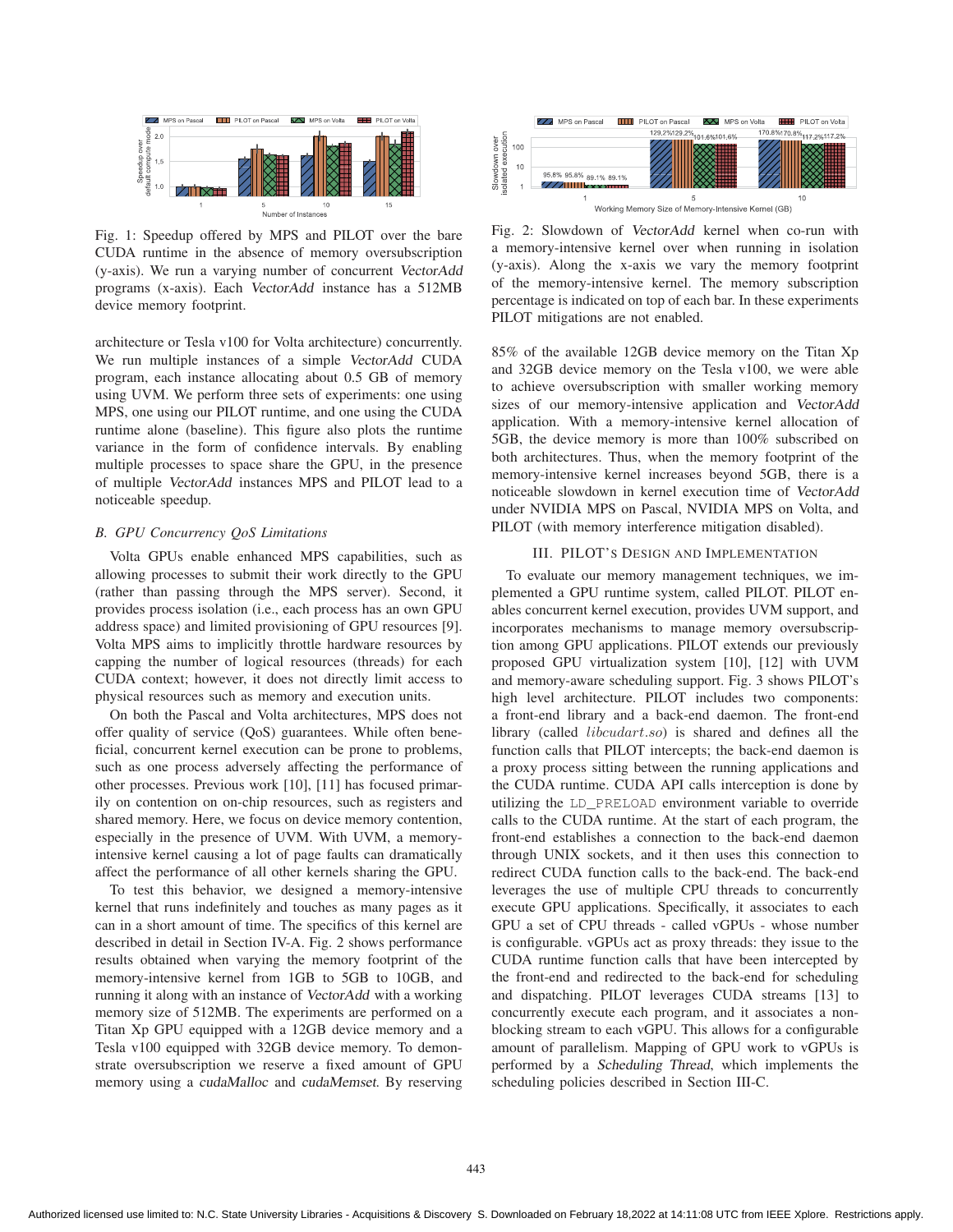

Fig. 1: Speedup offered by MPS and PILOT over the bare CUDA runtime in the absence of memory oversubscription (y-axis). We run a varying number of concurrent VectorAdd programs (x-axis). Each VectorAdd instance has a 512MB device memory footprint.

architecture or Tesla v100 for Volta architecture) concurrently. We run multiple instances of a simple VectorAdd CUDA program, each instance allocating about 0.5 GB of memory using UVM. We perform three sets of experiments: one using MPS, one using our PILOT runtime, and one using the CUDA runtime alone (baseline). This figure also plots the runtime variance in the form of confidence intervals. By enabling multiple processes to space share the GPU, in the presence of multiple VectorAdd instances MPS and PILOT lead to a noticeable speedup.

#### *B. GPU Concurrency QoS Limitations*

Volta GPUs enable enhanced MPS capabilities, such as allowing processes to submit their work directly to the GPU (rather than passing through the MPS server). Second, it provides process isolation (i.e., each process has an own GPU address space) and limited provisioning of GPU resources [9]. Volta MPS aims to implicitly throttle hardware resources by capping the number of logical resources (threads) for each CUDA context; however, it does not directly limit access to physical resources such as memory and execution units.

On both the Pascal and Volta architectures, MPS does not offer quality of service (QoS) guarantees. While often beneficial, concurrent kernel execution can be prone to problems, such as one process adversely affecting the performance of other processes. Previous work [10], [11] has focused primarily on contention on on-chip resources, such as registers and shared memory. Here, we focus on device memory contention, especially in the presence of UVM. With UVM, a memoryintensive kernel causing a lot of page faults can dramatically affect the performance of all other kernels sharing the GPU.

To test this behavior, we designed a memory-intensive kernel that runs indefinitely and touches as many pages as it can in a short amount of time. The specifics of this kernel are described in detail in Section IV-A. Fig. 2 shows performance results obtained when varying the memory footprint of the memory-intensive kernel from 1GB to 5GB to 10GB, and running it along with an instance of VectorAdd with a working memory size of 512MB. The experiments are performed on a Titan Xp GPU equipped with a 12GB device memory and a Tesla v100 equipped with 32GB device memory. To demonstrate oversubscription we reserve a fixed amount of GPU memory using a cudaMalloc and cudaMemset. By reserving



Fig. 2: Slowdown of VectorAdd kernel when co-run with a memory-intensive kernel over when running in isolation (y-axis). Along the x-axis we vary the memory footprint of the memory-intensive kernel. The memory subscription percentage is indicated on top of each bar. In these experiments PILOT mitigations are not enabled.

85% of the available 12GB device memory on the Titan Xp and 32GB device memory on the Tesla v100, we were able to achieve oversubscription with smaller working memory sizes of our memory-intensive application and VectorAdd application. With a memory-intensive kernel allocation of 5GB, the device memory is more than 100% subscribed on both architectures. Thus, when the memory footprint of the memory-intensive kernel increases beyond 5GB, there is a noticeable slowdown in kernel execution time of VectorAdd under NVIDIA MPS on Pascal, NVIDIA MPS on Volta, and PILOT (with memory interference mitigation disabled).

## III. PILOT'S DESIGN AND IMPLEMENTATION

To evaluate our memory management techniques, we implemented a GPU runtime system, called PILOT. PILOT enables concurrent kernel execution, provides UVM support, and incorporates mechanisms to manage memory oversubscription among GPU applications. PILOT extends our previously proposed GPU virtualization system [10], [12] with UVM and memory-aware scheduling support. Fig. 3 shows PILOT's high level architecture. PILOT includes two components: a front-end library and a back-end daemon. The front-end library (called *libcudart.so*) is shared and defines all the function calls that PILOT intercepts; the back-end daemon is a proxy process sitting between the running applications and the CUDA runtime. CUDA API calls interception is done by utilizing the LD\_PRELOAD environment variable to override calls to the CUDA runtime. At the start of each program, the front-end establishes a connection to the back-end daemon through UNIX sockets, and it then uses this connection to redirect CUDA function calls to the back-end. The back-end leverages the use of multiple CPU threads to concurrently execute GPU applications. Specifically, it associates to each GPU a set of CPU threads - called vGPUs - whose number is configurable. vGPUs act as proxy threads: they issue to the CUDA runtime function calls that have been intercepted by the front-end and redirected to the back-end for scheduling and dispatching. PILOT leverages CUDA streams [13] to concurrently execute each program, and it associates a nonblocking stream to each vGPU. This allows for a configurable amount of parallelism. Mapping of GPU work to vGPUs is performed by a Scheduling Thread, which implements the scheduling policies described in Section III-C.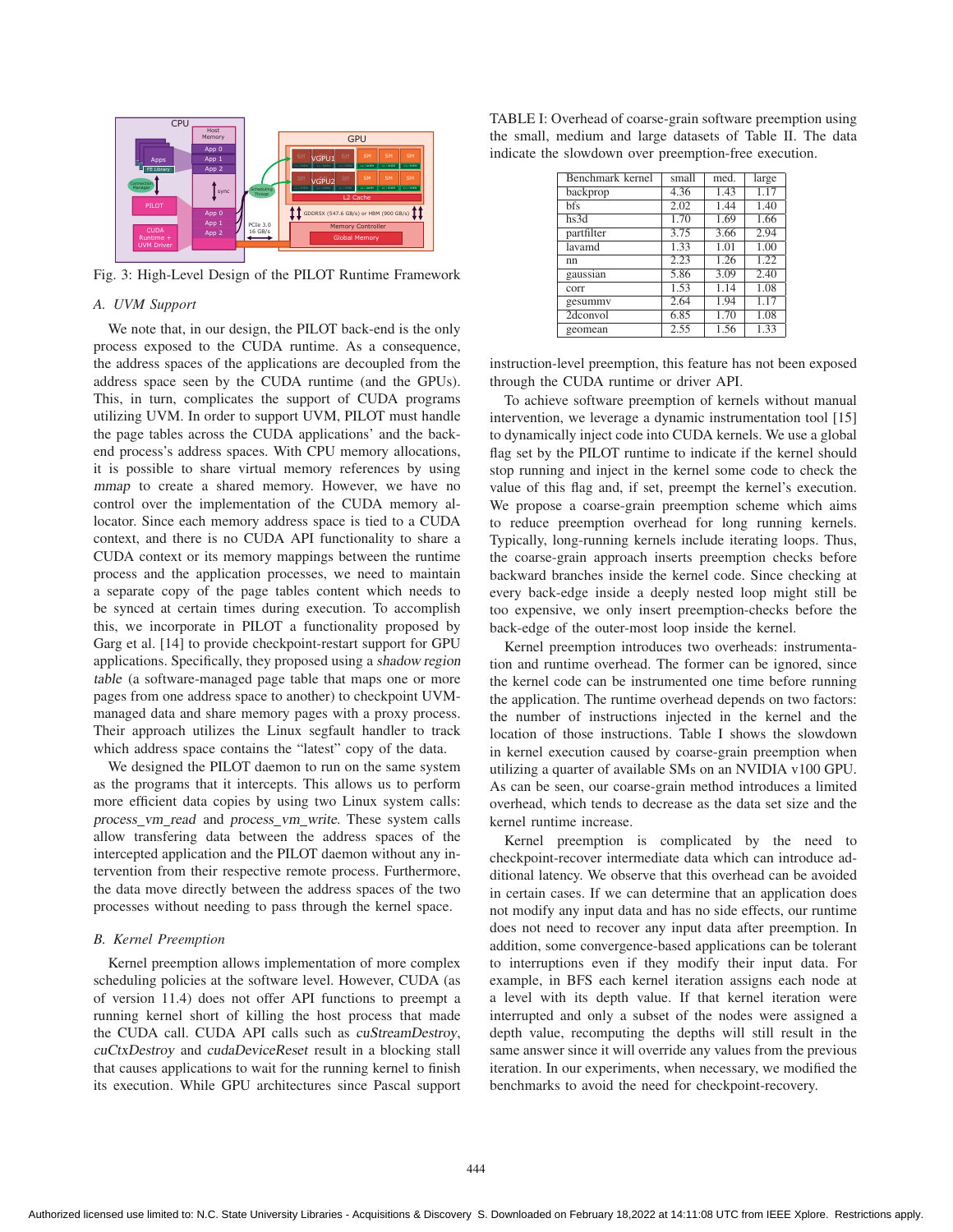

Fig. 3: High-Level Design of the PILOT Runtime Framework

#### *A. UVM Support*

We note that, in our design, the PILOT back-end is the only process exposed to the CUDA runtime. As a consequence, the address spaces of the applications are decoupled from the address space seen by the CUDA runtime (and the GPUs). This, in turn, complicates the support of CUDA programs utilizing UVM. In order to support UVM, PILOT must handle the page tables across the CUDA applications' and the backend process's address spaces. With CPU memory allocations, it is possible to share virtual memory references by using mmap to create a shared memory. However, we have no control over the implementation of the CUDA memory allocator. Since each memory address space is tied to a CUDA context, and there is no CUDA API functionality to share a CUDA context or its memory mappings between the runtime process and the application processes, we need to maintain a separate copy of the page tables content which needs to be synced at certain times during execution. To accomplish this, we incorporate in PILOT a functionality proposed by Garg et al. [14] to provide checkpoint-restart support for GPU applications. Specifically, they proposed using a shadow region table (a software-managed page table that maps one or more pages from one address space to another) to checkpoint UVMmanaged data and share memory pages with a proxy process. Their approach utilizes the Linux segfault handler to track which address space contains the "latest" copy of the data.

We designed the PILOT daemon to run on the same system as the programs that it intercepts. This allows us to perform more efficient data copies by using two Linux system calls: process\_vm\_read and process\_vm\_write. These system calls allow transfering data between the address spaces of the intercepted application and the PILOT daemon without any intervention from their respective remote process. Furthermore, the data move directly between the address spaces of the two processes without needing to pass through the kernel space.

#### *B. Kernel Preemption*

Kernel preemption allows implementation of more complex scheduling policies at the software level. However, CUDA (as of version 11.4) does not offer API functions to preempt a running kernel short of killing the host process that made the CUDA call. CUDA API calls such as cuStreamDestroy, cuCtxDestroy and cudaDeviceReset result in a blocking stall that causes applications to wait for the running kernel to finish its execution. While GPU architectures since Pascal support

TABLE I: Overhead of coarse-grain software preemption using the small, medium and large datasets of Table II. The data indicate the slowdown over preemption-free execution.

| Benchmark kernel | small | med. | large |
|------------------|-------|------|-------|
| backprop         | 4.36  | 1.43 | 1.17  |
| <b>bfs</b>       | 2.02  | 1.44 | 1.40  |
| hs3d             | 1.70  | 1.69 | 1.66  |
| partfilter       | 3.75  | 3.66 | 2.94  |
| lavamd           | 1.33  | 1.01 | 1.00  |
| nn               | 2.23  | 1.26 | 1.22  |
| gaussian         | 5.86  | 3.09 | 2.40  |
| corr             | 1.53  | 1.14 | 1.08  |
| gesummy          | 2.64  | 1.94 | 1.17  |
| 2dconvol         | 6.85  | 1.70 | 1.08  |
| geomean          | 2.55  | 1.56 | 1.33  |

instruction-level preemption, this feature has not been exposed through the CUDA runtime or driver API.

To achieve software preemption of kernels without manual intervention, we leverage a dynamic instrumentation tool [15] to dynamically inject code into CUDA kernels. We use a global flag set by the PILOT runtime to indicate if the kernel should stop running and inject in the kernel some code to check the value of this flag and, if set, preempt the kernel's execution. We propose a coarse-grain preemption scheme which aims to reduce preemption overhead for long running kernels. Typically, long-running kernels include iterating loops. Thus, the coarse-grain approach inserts preemption checks before backward branches inside the kernel code. Since checking at every back-edge inside a deeply nested loop might still be too expensive, we only insert preemption-checks before the back-edge of the outer-most loop inside the kernel.

Kernel preemption introduces two overheads: instrumentation and runtime overhead. The former can be ignored, since the kernel code can be instrumented one time before running the application. The runtime overhead depends on two factors: the number of instructions injected in the kernel and the location of those instructions. Table I shows the slowdown in kernel execution caused by coarse-grain preemption when utilizing a quarter of available SMs on an NVIDIA v100 GPU. As can be seen, our coarse-grain method introduces a limited overhead, which tends to decrease as the data set size and the kernel runtime increase.

Kernel preemption is complicated by the need to checkpoint-recover intermediate data which can introduce additional latency. We observe that this overhead can be avoided in certain cases. If we can determine that an application does not modify any input data and has no side effects, our runtime does not need to recover any input data after preemption. In addition, some convergence-based applications can be tolerant to interruptions even if they modify their input data. For example, in BFS each kernel iteration assigns each node at a level with its depth value. If that kernel iteration were interrupted and only a subset of the nodes were assigned a depth value, recomputing the depths will still result in the same answer since it will override any values from the previous iteration. In our experiments, when necessary, we modified the benchmarks to avoid the need for checkpoint-recovery.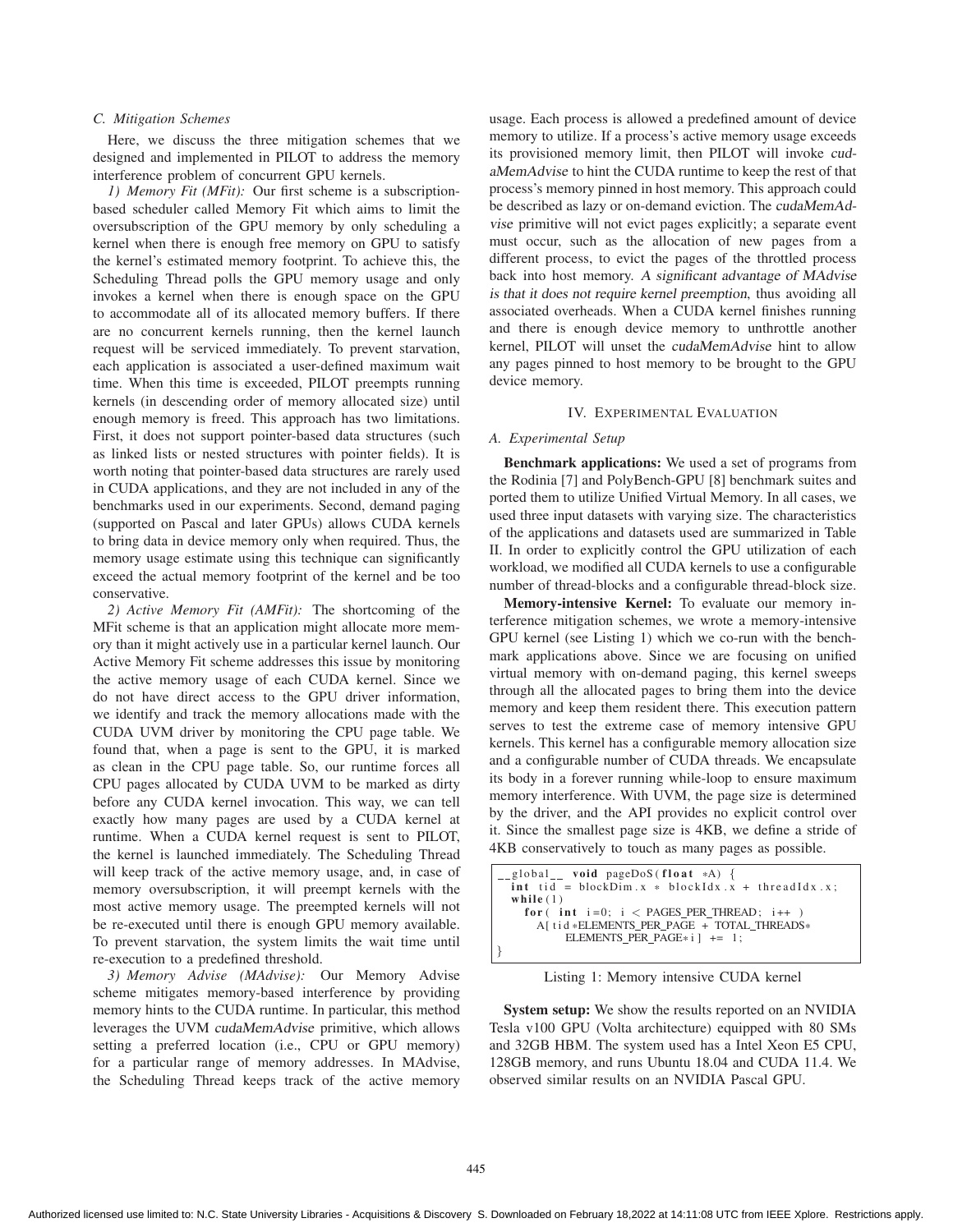# *C. Mitigation Schemes*

Here, we discuss the three mitigation schemes that we designed and implemented in PILOT to address the memory interference problem of concurrent GPU kernels.

*1) Memory Fit (MFit):* Our first scheme is a subscriptionbased scheduler called Memory Fit which aims to limit the oversubscription of the GPU memory by only scheduling a kernel when there is enough free memory on GPU to satisfy the kernel's estimated memory footprint. To achieve this, the Scheduling Thread polls the GPU memory usage and only invokes a kernel when there is enough space on the GPU to accommodate all of its allocated memory buffers. If there are no concurrent kernels running, then the kernel launch request will be serviced immediately. To prevent starvation, each application is associated a user-defined maximum wait time. When this time is exceeded, PILOT preempts running kernels (in descending order of memory allocated size) until enough memory is freed. This approach has two limitations. First, it does not support pointer-based data structures (such as linked lists or nested structures with pointer fields). It is worth noting that pointer-based data structures are rarely used in CUDA applications, and they are not included in any of the benchmarks used in our experiments. Second, demand paging (supported on Pascal and later GPUs) allows CUDA kernels to bring data in device memory only when required. Thus, the memory usage estimate using this technique can significantly exceed the actual memory footprint of the kernel and be too conservative.

*2) Active Memory Fit (AMFit):* The shortcoming of the MFit scheme is that an application might allocate more memory than it might actively use in a particular kernel launch. Our Active Memory Fit scheme addresses this issue by monitoring the active memory usage of each CUDA kernel. Since we do not have direct access to the GPU driver information, we identify and track the memory allocations made with the CUDA UVM driver by monitoring the CPU page table. We found that, when a page is sent to the GPU, it is marked as clean in the CPU page table. So, our runtime forces all CPU pages allocated by CUDA UVM to be marked as dirty before any CUDA kernel invocation. This way, we can tell exactly how many pages are used by a CUDA kernel at runtime. When a CUDA kernel request is sent to PILOT, the kernel is launched immediately. The Scheduling Thread will keep track of the active memory usage, and, in case of memory oversubscription, it will preempt kernels with the most active memory usage. The preempted kernels will not be re-executed until there is enough GPU memory available. To prevent starvation, the system limits the wait time until re-execution to a predefined threshold.

*3) Memory Advise (MAdvise):* Our Memory Advise scheme mitigates memory-based interference by providing memory hints to the CUDA runtime. In particular, this method leverages the UVM cudaMemAdvise primitive, which allows setting a preferred location (i.e., CPU or GPU memory) for a particular range of memory addresses. In MAdvise, the Scheduling Thread keeps track of the active memory

usage. Each process is allowed a predefined amount of device memory to utilize. If a process's active memory usage exceeds its provisioned memory limit, then PILOT will invoke cudaMemAdvise to hint the CUDA runtime to keep the rest of that process's memory pinned in host memory. This approach could be described as lazy or on-demand eviction. The cudaMemAdvise primitive will not evict pages explicitly; a separate event must occur, such as the allocation of new pages from a different process, to evict the pages of the throttled process back into host memory. A significant advantage of MAdvise is that it does not require kernel preemption, thus avoiding all associated overheads. When a CUDA kernel finishes running and there is enough device memory to unthrottle another kernel, PILOT will unset the cudaMemAdvise hint to allow any pages pinned to host memory to be brought to the GPU device memory.

#### IV. EXPERIMENTAL EVALUATION

## *A. Experimental Setup*

Benchmark applications: We used a set of programs from the Rodinia [7] and PolyBench-GPU [8] benchmark suites and ported them to utilize Unified Virtual Memory. In all cases, we used three input datasets with varying size. The characteristics of the applications and datasets used are summarized in Table II. In order to explicitly control the GPU utilization of each workload, we modified all CUDA kernels to use a configurable number of thread-blocks and a configurable thread-block size.

Memory-intensive Kernel: To evaluate our memory interference mitigation schemes, we wrote a memory-intensive GPU kernel (see Listing 1) which we co-run with the benchmark applications above. Since we are focusing on unified virtual memory with on-demand paging, this kernel sweeps through all the allocated pages to bring them into the device memory and keep them resident there. This execution pattern serves to test the extreme case of memory intensive GPU kernels. This kernel has a configurable memory allocation size and a configurable number of CUDA threads. We encapsulate its body in a forever running while-loop to ensure maximum memory interference. With UVM, the page size is determined by the driver, and the API provides no explicit control over it. Since the smallest page size is 4KB, we define a stride of 4KB conservatively to touch as many pages as possible.

|                                                                                          | $\text{\_global}\text{\_}$ void pageDoS(float *A) {<br>$int$ tid = blockDim.x * blockIdx.x + threadIdx.x; |  |  |
|------------------------------------------------------------------------------------------|-----------------------------------------------------------------------------------------------------------|--|--|
|                                                                                          | while $(1)$                                                                                               |  |  |
| for $(int i=0; i < PAGES_PER_THREAD; i++)$<br>A [tid *ELEMENTS PER PAGE + TOTAL THREADS* |                                                                                                           |  |  |
|                                                                                          | ELEMENTS PER PAGE $*$ i 1 += 1:                                                                           |  |  |

Listing 1: Memory intensive CUDA kernel

System setup: We show the results reported on an NVIDIA Tesla v100 GPU (Volta architecture) equipped with 80 SMs and 32GB HBM. The system used has a Intel Xeon E5 CPU, 128GB memory, and runs Ubuntu 18.04 and CUDA 11.4. We observed similar results on an NVIDIA Pascal GPU.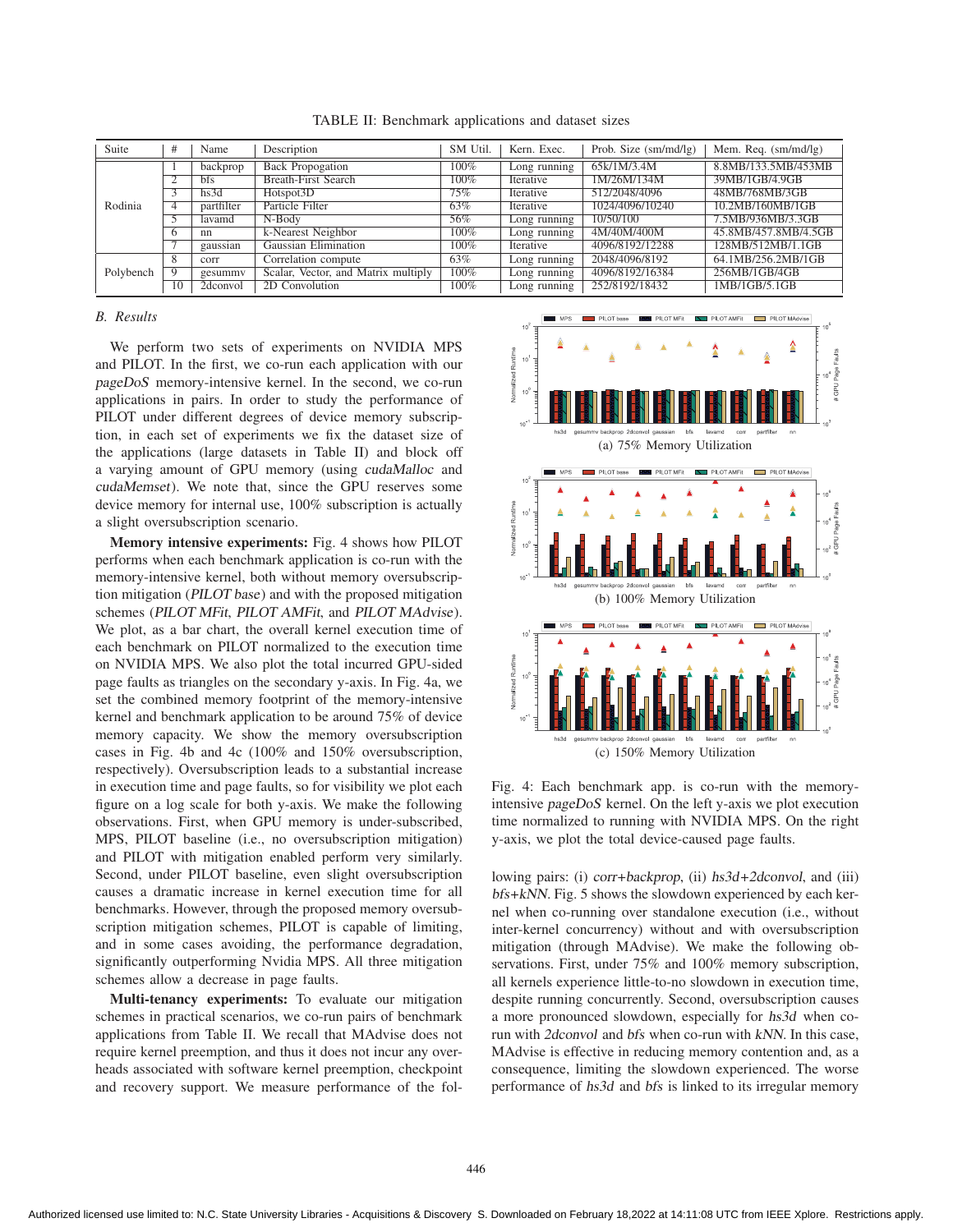Suite  $\vert$  # | Name | Description | SM Util. | Kern. Exec. | Prob. Size (sm/md/lg) | Mem. Req. (sm/md/lg) Rodinia 1 backprop Back Propogation 100% Long running 65k/1M/3.4M 8.8MB/133.5MB/453MB<br>2 bfs Breath-First Search 100% Iterative 1M/26M/134M 39MB/1GB/4.9GB 100% Iterative 1M/26M/134M<br>hs3d Hotspot3D 75% Iterative 512/2048/4096 3 hs3d Hotspot3D 75% Iterative 512/2048/4096 48MB/768MB/3GB 1 partfilter Particle Filter 63% Iterative 1024/4096/10240 10.2MB/160MB/1GB<br>1 partfilter 1024/4096/10240 10.2MB/936MB/3.3GF 5 lavamd N-Body 56% Long running 10/50/100 7.5MB/936MB/3.3GB 6 nn k-Nearest Neighbor 100% Long running 4M/40M/400M<br>
7 gaussian Gaussian Elimination 100% Iterative 4096/8192/12288 gaussian Gaussian Elimination 100% Iterative 4096/8192/12288 128MB/512MB/1.1GB<br>
corr Correlation compute 63% Long running 2048/4096/8192 64.1MB/256.2MB/1GB Polybench 8 corr Correlation compute 63% Long running 2048/4096/8192 64.1MB/256.2MB/1GB<br>9 gesummy Scalar, Vector, and Matrix multiply 100% Long running 4096/8192/16384 256MB/1GB/4GB Scalar, Vector, and Matrix multiply 100% Long running 10 2dconvol 2D Convolution 100% Long running 252/8192/18432 1MB/1GB/5.1GB

TABLE II: Benchmark applications and dataset sizes

# *B. Results*

We perform two sets of experiments on NVIDIA MPS and PILOT. In the first, we co-run each application with our pageDoS memory-intensive kernel. In the second, we co-run applications in pairs. In order to study the performance of PILOT under different degrees of device memory subscription, in each set of experiments we fix the dataset size of the applications (large datasets in Table II) and block off a varying amount of GPU memory (using cudaMalloc and cudaMemset). We note that, since the GPU reserves some device memory for internal use, 100% subscription is actually a slight oversubscription scenario.

Memory intensive experiments: Fig. 4 shows how PILOT performs when each benchmark application is co-run with the memory-intensive kernel, both without memory oversubscription mitigation (PILOT base) and with the proposed mitigation schemes (PILOT MFit, PILOT AMFit, and PILOT MAdvise). We plot, as a bar chart, the overall kernel execution time of each benchmark on PILOT normalized to the execution time on NVIDIA MPS. We also plot the total incurred GPU-sided page faults as triangles on the secondary y-axis. In Fig. 4a, we set the combined memory footprint of the memory-intensive kernel and benchmark application to be around 75% of device memory capacity. We show the memory oversubscription cases in Fig. 4b and 4c (100% and 150% oversubscription, respectively). Oversubscription leads to a substantial increase in execution time and page faults, so for visibility we plot each figure on a log scale for both y-axis. We make the following observations. First, when GPU memory is under-subscribed, MPS, PILOT baseline (i.e., no oversubscription mitigation) and PILOT with mitigation enabled perform very similarly. Second, under PILOT baseline, even slight oversubscription causes a dramatic increase in kernel execution time for all benchmarks. However, through the proposed memory oversubscription mitigation schemes, PILOT is capable of limiting, and in some cases avoiding, the performance degradation, significantly outperforming Nvidia MPS. All three mitigation schemes allow a decrease in page faults.

Multi-tenancy experiments: To evaluate our mitigation schemes in practical scenarios, we co-run pairs of benchmark applications from Table II. We recall that MAdvise does not require kernel preemption, and thus it does not incur any overheads associated with software kernel preemption, checkpoint and recovery support. We measure performance of the fol-



Fig. 4: Each benchmark app. is co-run with the memoryintensive pageDoS kernel. On the left y-axis we plot execution time normalized to running with NVIDIA MPS. On the right y-axis, we plot the total device-caused page faults.

lowing pairs: (i) corr+backprop, (ii) hs3d+2dconvol, and (iii) bfs+kNN. Fig. 5 shows the slowdown experienced by each kernel when co-running over standalone execution (i.e., without inter-kernel concurrency) without and with oversubscription mitigation (through MAdvise). We make the following observations. First, under 75% and 100% memory subscription, all kernels experience little-to-no slowdown in execution time, despite running concurrently. Second, oversubscription causes a more pronounced slowdown, especially for hs3d when corun with 2dconvol and bfs when co-run with kNN. In this case, MAdvise is effective in reducing memory contention and, as a consequence, limiting the slowdown experienced. The worse performance of hs3d and bfs is linked to its irregular memory